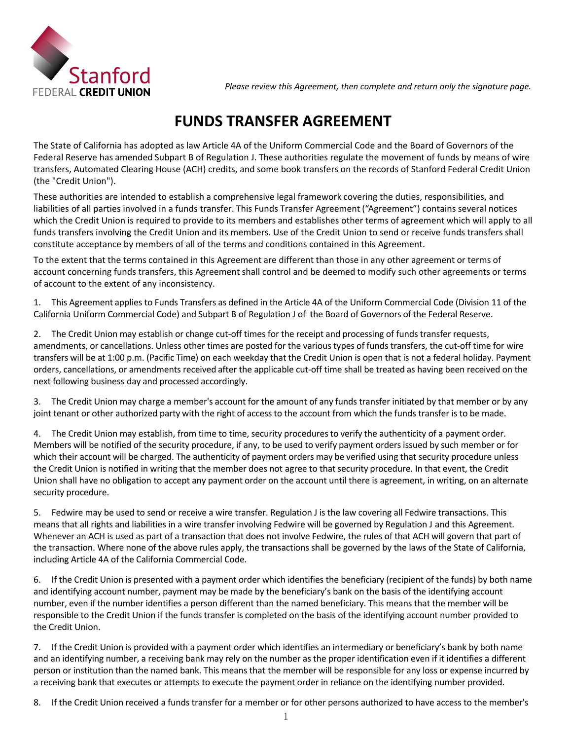

## **FUNDS TRANSFER AGREEMENT**

The State of California has adopted as law Article 4A of the Uniform Commercial Code and the Board of Governors of the Federal Reserve has amended Subpart B of Regulation J. These authorities regulate the movement of funds by means of wire transfers, Automated Clearing House (ACH) credits, and some book transfers on the records of Stanford Federal Credit Union (the "Credit Union").

These authorities are intended to establish a comprehensive legal framework covering the duties, responsibilities, and liabilities of all parties involved in a funds transfer. This Funds Transfer Agreement ("Agreement") contains several notices which the Credit Union is required to provide to its members and establishes other terms of agreement which will apply to all funds transfers involving the Credit Union and its members. Use of the Credit Union to send or receive funds transfers shall constitute acceptance by members of all of the terms and conditions contained in this Agreement.

To the extent that the terms contained in this Agreement are different than those in any other agreement or terms of account concerning funds transfers, this Agreement shall control and be deemed to modify such other agreements or terms of account to the extent of any inconsistency.

 1. This Agreement applies to Funds Transfers as defined in the Article 4A of the Uniform Commercial Code (Division 11 of the California Uniform Commercial Code) and Subpart B of Regulation J of the Board of Governors of the Federal Reserve.

 2. The Credit Union may establish or change cut-off times for the receipt and processing of funds transfer requests, amendments, or cancellations. Unless other times are posted for the various types of funds transfers, the cut-off time for wire transfers will be at 1:00 p.m. (Pacific Time) on each weekday that the Credit Union is open that is not a federal holiday. Payment orders, cancellations, or amendments received after the applicable cut-off time shall be treated as having been received on the next following business day and processed accordingly.

 3. The Credit Union may charge a member's account for the amount of any funds transfer initiated by that member or by any joint tenant or other authorized party with the right of access to the account from which the funds transfer is to be made.

 4. The Credit Union may establish, from time to time, security proceduresto verify the authenticity of a payment order. Members will be notified of the security procedure, if any, to be used to verify payment ordersissued by such member or for which their account will be charged. The authenticity of payment orders may be verified using that security procedure unless the Credit Union is notified in writing that the member does not agree to that security procedure. In that event, the Credit Union shall have no obligation to accept any payment order on the account until there is agreement, in writing, on an alternate security procedure.

 5. Fedwire may be used to send or receive a wire transfer. Regulation J is the law covering all Fedwire transactions. This means that all rights and liabilities in a wire transfer involving Fedwire will be governed by Regulation J and this Agreement. Whenever an ACH is used as part of a transaction that does not involve Fedwire, the rules of that ACH will govern that part of the transaction. Where none of the above rules apply, the transactions shall be governed by the laws of the State of California, including Article 4A of the California Commercial Code.

 responsible to the Credit Union if the funds transfer is completed on the basis of the identifying account number provided to the Credit Union. 6. If the Credit Union is presented with a payment order which identifies the beneficiary (recipient of the funds) by both name and identifying account number, payment may be made by the beneficiary's bank on the basis of the identifying account number, even if the number identifies a person different than the named beneficiary. This means that the member will be

 and an identifying number, a receiving bank may rely on the number as the proper identification even if it identifies a different person or institution than the named bank. This means that the member will be responsible for any loss or expense incurred by 7. If the Credit Union is provided with a payment order which identifies an intermediary or beneficiary's bank by both name a receiving bank that executes or attempts to execute the payment order in reliance on the identifying number provided.

8. If the Credit Union received a funds transfer for a member or for other persons authorized to have access to the member's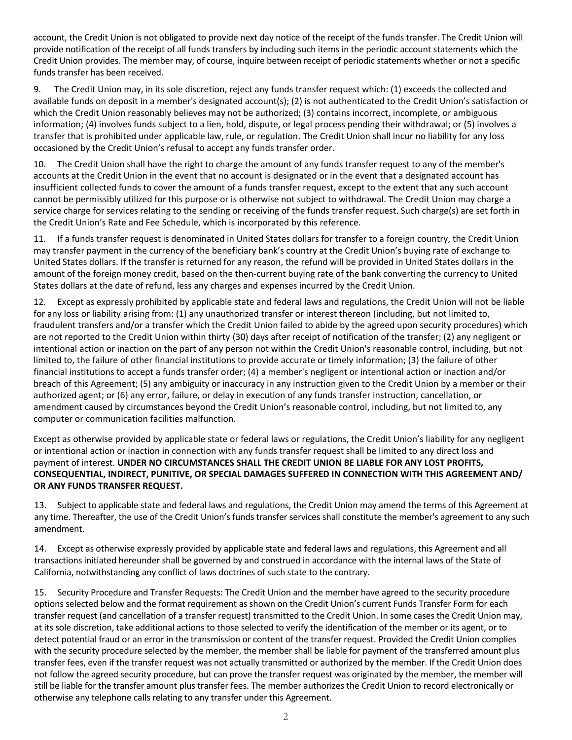account, the Credit Union is not obligated to provide next day notice of the receipt of the funds transfer. The Credit Union will provide notification of the receipt of all funds transfers by including such items in the periodic account statements which the Credit Union provides. The member may, of course, inquire between receipt of periodic statements whether or not a specific funds transfer has been received.

 which the Credit Union reasonably believes may not be authorized; (3) contains incorrect, incomplete, or ambiguous transfer that is prohibited under applicable law, rule, or regulation. The Credit Union shall incur no liability for any loss 9. The Credit Union may, in its sole discretion, reject any funds transfer request which: (1) exceeds the collected and available funds on deposit in a member's designated account(s); (2) is not authenticated to the Credit Union's satisfaction or information; (4) involves funds subject to a lien, hold, dispute, or legal process pending their withdrawal; or (5) involves a occasioned by the Credit Union's refusal to accept any funds transfer order.

 insufficient collected funds to cover the amount of a funds transfer request, except to the extent that any such account 10. The Credit Union shall have the right to charge the amount of any funds transfer request to any of the member's accounts at the Credit Union in the event that no account is designated or in the event that a designated account has cannot be permissibly utilized for this purpose or is otherwise not subject to withdrawal. The Credit Union may charge a service charge for services relating to the sending or receiving of the funds transfer request. Such charge(s) are set forth in the Credit Union's Rate and Fee Schedule, which is incorporated by this reference.

 11. If a funds transfer request is denominated in United States dollars for transfer to a foreign country, the Credit Union may transfer payment in the currency of the beneficiary bank's country at the Credit Union's buying rate of exchange to United States dollars. If the transfer is returned for any reason, the refund will be provided in United States dollars in the amount of the foreign money credit, based on the then-current buying rate of the bank converting the currency to United States dollars at the date of refund, less any charges and expenses incurred by the Credit Union.

 12. Except as expressly prohibited by applicable state and federal laws and regulations, the Credit Union will not be liable are not reported to the Credit Union within thirty (30) days after receipt of notification of the transfer; (2) any negligent or limited to, the failure of other financial institutions to provide accurate or timely information; (3) the failure of other for any loss or liability arising from: (1) any unauthorized transfer or interest thereon (including, but not limited to, fraudulent transfers and/or a transfer which the Credit Union failed to abide by the agreed upon security procedures) which intentional action or inaction on the part of any person not within the Credit Union's reasonable control, including, but not financial institutions to accept a funds transfer order; (4) a member's negligent or intentional action or inaction and/or breach of this Agreement; (5) any ambiguity or inaccuracy in any instruction given to the Credit Union by a member or their authorized agent; or (6) any error, failure, or delay in execution of any funds transfer instruction, cancellation, or amendment caused by circumstances beyond the Credit Union's reasonable control, including, but not limited to, any computer or communication facilities malfunction.

Except as otherwise provided by applicable state or federal laws or regulations, the Credit Union's liability for any negligent or intentional action or inaction in connection with any funds transfer request shall be limited to any direct loss and payment of interest. **UNDER NO CIRCUMSTANCES SHALL THE CREDIT UNION BE LIABLE FOR ANY LOST PROFITS, CONSEQUENTIAL, INDIRECT, PUNITIVE, OR SPECIAL DAMAGES SUFFERED IN CONNECTION WITH THIS AGREEMENT AND/ OR ANY FUNDS TRANSFER REQUEST.**

13. Subject to applicable state and federal laws and regulations, the Credit Union may amend the terms of this Agreement at any time. Thereafter, the use of the Credit Union's funds transfer services shall constitute the member's agreement to any such amendment.

14. Except as otherwise expressly provided by applicable state and federal laws and regulations, this Agreement and all transactions initiated hereunder shall be governed by and construed in accordance with the internal laws of the State of California, notwithstanding any conflict of laws doctrines of such state to the contrary.

 options selected below and the format requirement as shown on the Credit Union's current Funds Transfer Form for each transfer request (and cancellation of a transfer request) transmitted to the Credit Union. In some cases the Credit Union may, at its sole discretion, take additional actions to those selected to verify the identification of the member or its agent, or to detect potential fraud or an error in the transmission or content of the transfer request. Provided the Credit Union complies with the security procedure selected by the member, the member shall be liable for payment of the transferred amount plus not follow the agreed security procedure, but can prove the transfer request was originated by the member, the member will 15. Security Procedure and Transfer Requests: The Credit Union and the member have agreed to the security procedure transfer fees, even if the transfer request was not actually transmitted or authorized by the member. If the Credit Union does still be liable for the transfer amount plus transfer fees. The member authorizes the Credit Union to record electronically or otherwise any telephone calls relating to any transfer under this Agreement.